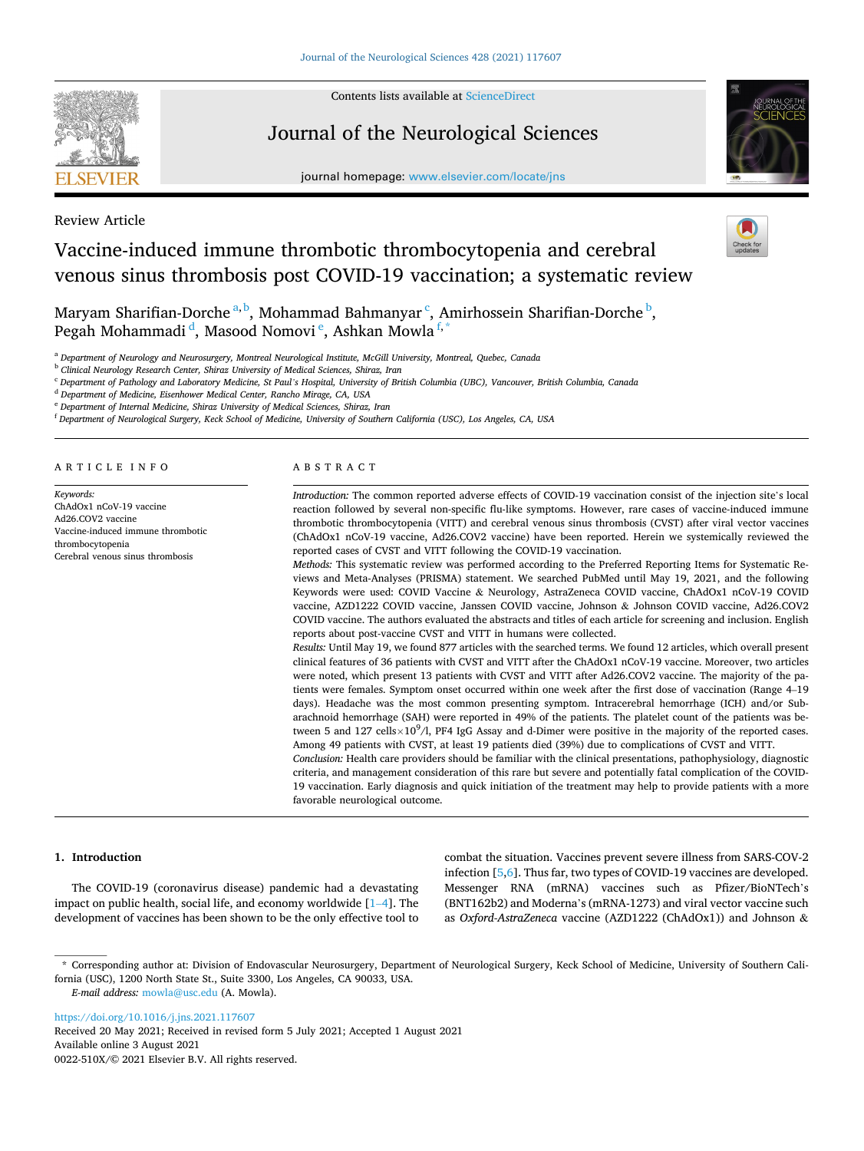

Review Article

Contents lists available at [ScienceDirect](www.sciencedirect.com/science/journal/0022510X)

# Journal of the Neurological Sciences

journal homepage: [www.elsevier.com/locate/jns](https://www.elsevier.com/locate/jns) 



# Vaccine-induced immune thrombotic thrombocytopenia and cerebral venous sinus thrombosis post COVID-19 vaccination; a systematic review

Maryam Sharifian-Dorche <sup>a, b</sup>, Mohammad Bahmanyar <sup>c</sup>, Amirhossein Sharifian-Dorche <sup>b</sup>, Pegah Mohammadi <sup>d</sup>, Masood Nomovi <sup>e</sup>, Ashkan Mowla <sup>f, \*</sup>

<sup>a</sup> *Department of Neurology and Neurosurgery, Montreal Neurological Institute, McGill University, Montreal, Quebec, Canada* 

<sup>b</sup> *Clinical Neurology Research Center, Shiraz University of Medical Sciences, Shiraz, Iran* 

<sup>c</sup> *Department of Pathology and Laboratory Medicine, St Paul's Hospital, University of British Columbia (UBC), Vancouver, British Columbia, Canada* 

<sup>d</sup> *Department of Medicine, Eisenhower Medical Center, Rancho Mirage, CA, USA* 

<sup>e</sup> *Department of Internal Medicine, Shiraz University of Medical Sciences, Shiraz, Iran* 

<sup>f</sup> *Department of Neurological Surgery, Keck School of Medicine, University of Southern California (USC), Los Angeles, CA, USA* 

ARTICLE INFO

*Keywords:*  ChAdOx1 nCoV-19 vaccine Ad26.COV2 vaccine Vaccine-induced immune thrombotic thrombocytopenia Cerebral venous sinus thrombosis

#### ABSTRACT

*Introduction:* The common reported adverse effects of COVID-19 vaccination consist of the injection site's local reaction followed by several non-specific flu-like symptoms. However, rare cases of vaccine-induced immune thrombotic thrombocytopenia (VITT) and cerebral venous sinus thrombosis (CVST) after viral vector vaccines (ChAdOx1 nCoV-19 vaccine, Ad26.COV2 vaccine) have been reported. Herein we systemically reviewed the reported cases of CVST and VITT following the COVID-19 vaccination.

*Methods:* This systematic review was performed according to the Preferred Reporting Items for Systematic Reviews and Meta-Analyses (PRISMA) statement. We searched PubMed until May 19, 2021, and the following Keywords were used: COVID Vaccine & Neurology, AstraZeneca COVID vaccine, ChAdOx1 nCoV-19 COVID vaccine, AZD1222 COVID vaccine, Janssen COVID vaccine, Johnson & Johnson COVID vaccine, Ad26.COV2 COVID vaccine. The authors evaluated the abstracts and titles of each article for screening and inclusion. English reports about post-vaccine CVST and VITT in humans were collected.

*Results:* Until May 19, we found 877 articles with the searched terms. We found 12 articles, which overall present clinical features of 36 patients with CVST and VITT after the ChAdOx1 nCoV-19 vaccine. Moreover, two articles were noted, which present 13 patients with CVST and VITT after Ad26.COV2 vaccine. The majority of the patients were females. Symptom onset occurred within one week after the first dose of vaccination (Range 4–19 days). Headache was the most common presenting symptom. Intracerebral hemorrhage (ICH) and/or Subarachnoid hemorrhage (SAH) were reported in 49% of the patients. The platelet count of the patients was between 5 and  $127 \text{ cells} \times 10^9/1$ , PF4 IgG Assay and d-Dimer were positive in the majority of the reported cases. Among 49 patients with CVST, at least 19 patients died (39%) due to complications of CVST and VITT.

*Conclusion:* Health care providers should be familiar with the clinical presentations, pathophysiology, diagnostic criteria, and management consideration of this rare but severe and potentially fatal complication of the COVID-19 vaccination. Early diagnosis and quick initiation of the treatment may help to provide patients with a more favorable neurological outcome.

# **1. Introduction**

The COVID-19 (coronavirus disease) pandemic had a devastating impact on public health, social life, and economy worldwide [1–[4\]](#page-7-0). The development of vaccines has been shown to be the only effective tool to

combat the situation. Vaccines prevent severe illness from SARS-COV-2 infection [[5](#page-7-0),[6\]](#page-7-0). Thus far, two types of COVID-19 vaccines are developed. Messenger RNA (mRNA) vaccines such as Pfizer/BioNTech's (BNT162b2) and Moderna's (mRNA-1273) and viral vector vaccine such as *Oxford-AstraZeneca* vaccine (AZD1222 (ChAdOx1)) and Johnson &

*E-mail address:* [mowla@usc.edu](mailto:mowla@usc.edu) (A. Mowla).

Available online 3 August 2021 <https://doi.org/10.1016/j.jns.2021.117607> Received 20 May 2021; Received in revised form 5 July 2021; Accepted 1 August 2021

0022-510X/© 2021 Elsevier B.V. All rights reserved.

<sup>\*</sup> Corresponding author at: Division of Endovascular Neurosurgery, Department of Neurological Surgery, Keck School of Medicine, University of Southern California (USC), 1200 North State St., Suite 3300, Los Angeles, CA 90033, USA.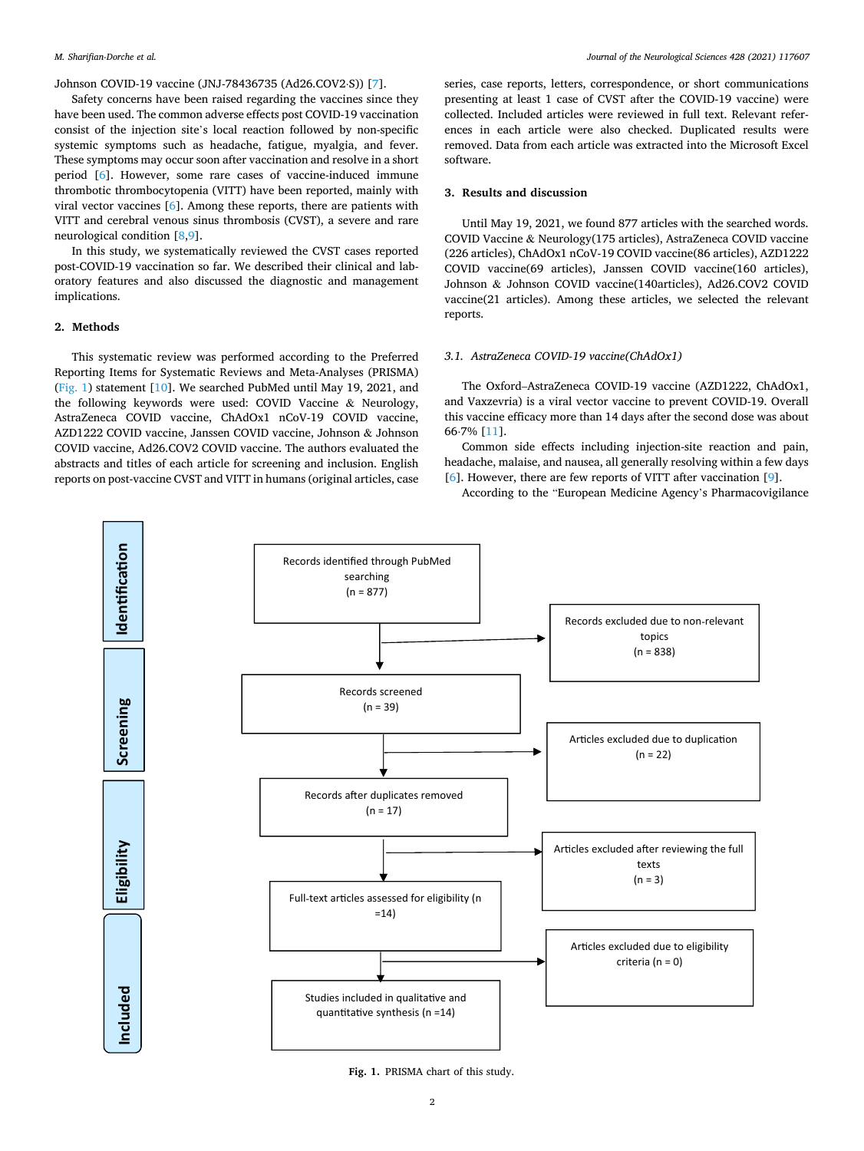Johnson COVID-19 vaccine (JNJ-78436735 (Ad26.COV2⋅S)) [[7](#page-7-0)].

Safety concerns have been raised regarding the vaccines since they have been used. The common adverse effects post COVID-19 vaccination consist of the injection site's local reaction followed by non-specific systemic symptoms such as headache, fatigue, myalgia, and fever. These symptoms may occur soon after vaccination and resolve in a short period [\[6\]](#page-7-0). However, some rare cases of vaccine-induced immune thrombotic thrombocytopenia (VITT) have been reported, mainly with viral vector vaccines [[6](#page-7-0)]. Among these reports, there are patients with VITT and cerebral venous sinus thrombosis (CVST), a severe and rare neurological condition [\[8,9](#page-7-0)].

In this study, we systematically reviewed the CVST cases reported post-COVID-19 vaccination so far. We described their clinical and laboratory features and also discussed the diagnostic and management implications.

# **2. Methods**

This systematic review was performed according to the Preferred Reporting Items for Systematic Reviews and Meta-Analyses (PRISMA) (Fig. 1) statement [[10\]](#page-7-0). We searched PubMed until May 19, 2021, and the following keywords were used: COVID Vaccine & Neurology, AstraZeneca COVID vaccine, ChAdOx1 nCoV-19 COVID vaccine, AZD1222 COVID vaccine, Janssen COVID vaccine, Johnson & Johnson COVID vaccine, Ad26.COV2 COVID vaccine. The authors evaluated the abstracts and titles of each article for screening and inclusion. English reports on post-vaccine CVST and VITT in humans (original articles, case

series, case reports, letters, correspondence, or short communications presenting at least 1 case of CVST after the COVID-19 vaccine) were collected. Included articles were reviewed in full text. Relevant references in each article were also checked. Duplicated results were removed. Data from each article was extracted into the Microsoft Excel software.

# **3. Results and discussion**

Until May 19, 2021, we found 877 articles with the searched words. COVID Vaccine & Neurology(175 articles), AstraZeneca COVID vaccine (226 articles), ChAdOx1 nCoV-19 COVID vaccine(86 articles), AZD1222 COVID vaccine(69 articles), Janssen COVID vaccine(160 articles), Johnson & Johnson COVID vaccine(140articles), Ad26.COV2 COVID vaccine(21 articles). Among these articles, we selected the relevant reports.

# *3.1. AstraZeneca COVID-19 vaccine(ChAdOx1)*

The Oxford–AstraZeneca COVID-19 vaccine (AZD1222, ChAdOx1, and Vaxzevria) is a viral vector vaccine to prevent COVID-19. Overall this vaccine efficacy more than 14 days after the second dose was about 66⋅7% [[11\]](#page-7-0).

Common side effects including injection-site reaction and pain, headache, malaise, and nausea, all generally resolving within a few days [[6](#page-7-0)]. However, there are few reports of VITT after vaccination [[9](#page-7-0)].

According to the "European Medicine Agency's Pharmacovigilance



**Fig. 1.** PRISMA chart of this study.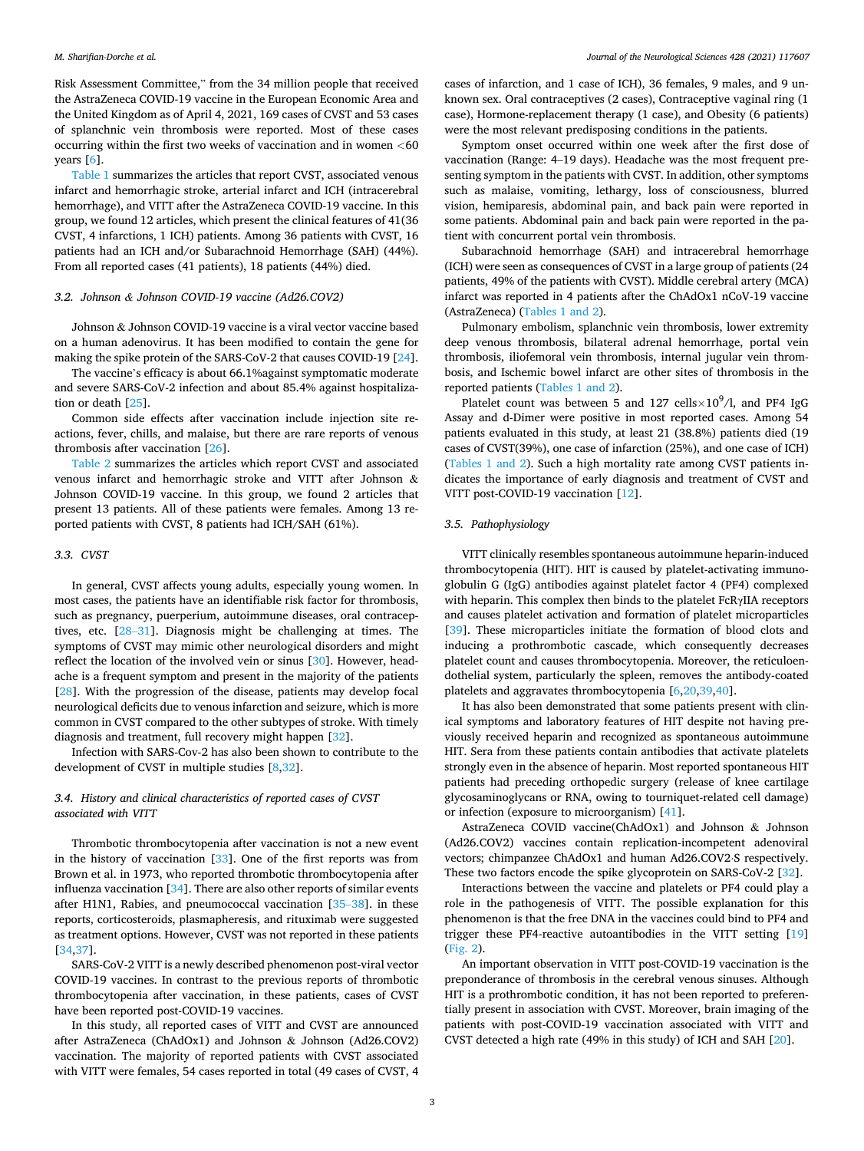#### *M. Sharifian-Dorche et al.*

Risk Assessment Committee," from the 34 million people that received the AstraZeneca COVID-19 vaccine in the European Economic Area and the United Kingdom as of April 4, 2021, 169 cases of CVST and 53 cases of splanchnic vein thrombosis were reported. Most of these cases occurring within the first two weeks of vaccination and in women *<*60 years [[6](#page-7-0)].

[Table 1](#page-3-0) summarizes the articles that report CVST, associated venous infarct and hemorrhagic stroke, arterial infarct and ICH (intracerebral hemorrhage), and VITT after the AstraZeneca COVID-19 vaccine. In this group, we found 12 articles, which present the clinical features of 41(36 CVST, 4 infarctions, 1 ICH) patients. Among 36 patients with CVST, 16 patients had an ICH and/or Subarachnoid Hemorrhage (SAH) (44%). From all reported cases (41 patients), 18 patients (44%) died.

#### *3.2. Johnson & Johnson COVID-19 vaccine (Ad26.COV2)*

Johnson & Johnson COVID-19 vaccine is a viral vector vaccine based on a human adenovirus. It has been modified to contain the gene for making the spike protein of the SARS-CoV-2 that causes COVID-19 [\[24](#page-7-0)].

The vaccine's efficacy is about 66.1%against symptomatic moderate and severe SARS-CoV-2 infection and about 85.4% against hospitalization or death [\[25](#page-7-0)].

Common side effects after vaccination include injection site reactions, fever, chills, and malaise, but there are rare reports of venous thrombosis after vaccination [\[26](#page-7-0)].

[Table 2](#page-5-0) summarizes the articles which report CVST and associated venous infarct and hemorrhagic stroke and VITT after Johnson & Johnson COVID-19 vaccine. In this group, we found 2 articles that present 13 patients. All of these patients were females. Among 13 reported patients with CVST, 8 patients had ICH/SAH (61%).

#### *3.3. CVST*

In general, CVST affects young adults, especially young women. In most cases, the patients have an identifiable risk factor for thrombosis, such as pregnancy, puerperium, autoimmune diseases, oral contraceptives, etc. [28–[31\]](#page-7-0). Diagnosis might be challenging at times. The symptoms of CVST may mimic other neurological disorders and might reflect the location of the involved vein or sinus [\[30](#page-7-0)]. However, headache is a frequent symptom and present in the majority of the patients [[28\]](#page-7-0). With the progression of the disease, patients may develop focal neurological deficits due to venous infarction and seizure, which is more common in CVST compared to the other subtypes of stroke. With timely diagnosis and treatment, full recovery might happen [\[32](#page-8-0)].

Infection with SARS-Cov-2 has also been shown to contribute to the development of CVST in multiple studies [[8](#page-7-0),[32\]](#page-8-0).

# *3.4. History and clinical characteristics of reported cases of CVST associated with VITT*

Thrombotic thrombocytopenia after vaccination is not a new event in the history of vaccination [\[33](#page-8-0)]. One of the first reports was from Brown et al. in 1973, who reported thrombotic thrombocytopenia after influenza vaccination [[34\]](#page-8-0). There are also other reports of similar events after H1N1, Rabies, and pneumococcal vaccination [\[35](#page-8-0)–38]. in these reports, corticosteroids, plasmapheresis, and rituximab were suggested as treatment options. However, CVST was not reported in these patients [[34,37](#page-8-0)].

SARS-CoV-2 VITT is a newly described phenomenon post-viral vector COVID-19 vaccines. In contrast to the previous reports of thrombotic thrombocytopenia after vaccination, in these patients, cases of CVST have been reported post-COVID-19 vaccines.

In this study, all reported cases of VITT and CVST are announced after AstraZeneca (ChAdOx1) and Johnson & Johnson (Ad26.COV2) vaccination. The majority of reported patients with CVST associated with VITT were females, 54 cases reported in total (49 cases of CVST, 4

cases of infarction, and 1 case of ICH), 36 females, 9 males, and 9 unknown sex. Oral contraceptives (2 cases), Contraceptive vaginal ring (1 case), Hormone-replacement therapy (1 case), and Obesity (6 patients) were the most relevant predisposing conditions in the patients.

Symptom onset occurred within one week after the first dose of vaccination (Range: 4–19 days). Headache was the most frequent presenting symptom in the patients with CVST. In addition, other symptoms such as malaise, vomiting, lethargy, loss of consciousness, blurred vision, hemiparesis, abdominal pain, and back pain were reported in some patients. Abdominal pain and back pain were reported in the patient with concurrent portal vein thrombosis.

Subarachnoid hemorrhage (SAH) and intracerebral hemorrhage (ICH) were seen as consequences of CVST in a large group of patients (24 patients, 49% of the patients with CVST). Middle cerebral artery (MCA) infarct was reported in 4 patients after the ChAdOx1 nCoV-19 vaccine (AstraZeneca) [\(Tables 1 and 2](#page-3-0)).

Pulmonary embolism, splanchnic vein thrombosis, lower extremity deep venous thrombosis, bilateral adrenal hemorrhage, portal vein thrombosis, iliofemoral vein thrombosis, internal jugular vein thrombosis, and Ischemic bowel infarct are other sites of thrombosis in the reported patients [\(Tables 1 and 2](#page-3-0)).

Platelet count was between 5 and 127 cells $\times 10^9$ /l, and PF4 IgG Assay and d-Dimer were positive in most reported cases. Among 54 patients evaluated in this study, at least 21 (38.8%) patients died (19 cases of CVST(39%), one case of infarction (25%), and one case of ICH) ([Tables 1 and 2\)](#page-3-0). Such a high mortality rate among CVST patients indicates the importance of early diagnosis and treatment of CVST and VITT post-COVID-19 vaccination [\[12](#page-7-0)].

# *3.5. Pathophysiology*

VITT clinically resembles spontaneous autoimmune heparin-induced thrombocytopenia (HIT). HIT is caused by platelet-activating immunoglobulin G (IgG) antibodies against platelet factor 4 (PF4) complexed with heparin. This complex then binds to the platelet FcRγIIA receptors and causes platelet activation and formation of platelet microparticles [[39\]](#page-8-0). These microparticles initiate the formation of blood clots and inducing a prothrombotic cascade, which consequently decreases platelet count and causes thrombocytopenia. Moreover, the reticuloendothelial system, particularly the spleen, removes the antibody-coated platelets and aggravates thrombocytopenia [\[6,20](#page-7-0)[,39](#page-8-0),[40\]](#page-8-0).

It has also been demonstrated that some patients present with clinical symptoms and laboratory features of HIT despite not having previously received heparin and recognized as spontaneous autoimmune HIT. Sera from these patients contain antibodies that activate platelets strongly even in the absence of heparin. Most reported spontaneous HIT patients had preceding orthopedic surgery (release of knee cartilage glycosaminoglycans or RNA, owing to tourniquet-related cell damage) or infection (exposure to microorganism) [[41\]](#page-8-0).

AstraZeneca COVID vaccine(ChAdOx1) and Johnson & Johnson (Ad26.COV2) vaccines contain replication-incompetent adenoviral vectors; chimpanzee ChAdOx1 and human Ad26.COV2⋅S respectively. These two factors encode the spike glycoprotein on SARS-CoV-2 [\[32](#page-8-0)].

Interactions between the vaccine and platelets or PF4 could play a role in the pathogenesis of VITT. The possible explanation for this phenomenon is that the free DNA in the vaccines could bind to PF4 and trigger these PF4-reactive autoantibodies in the VITT setting [\[19](#page-7-0)] ([Fig. 2\)](#page-5-0).

An important observation in VITT post-COVID-19 vaccination is the preponderance of thrombosis in the cerebral venous sinuses. Although HIT is a prothrombotic condition, it has not been reported to preferentially present in association with CVST. Moreover, brain imaging of the patients with post-COVID-19 vaccination associated with VITT and CVST detected a high rate (49% in this study) of ICH and SAH [\[20](#page-7-0)].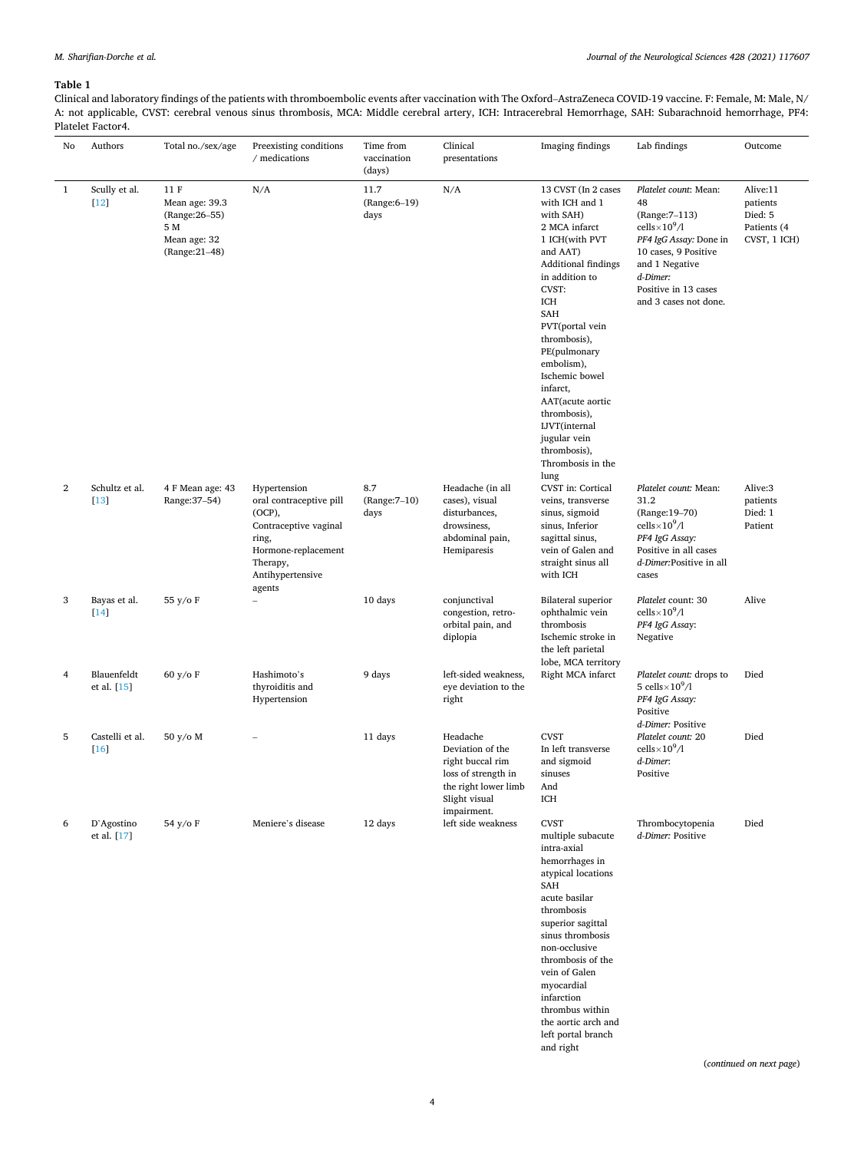# <span id="page-3-0"></span>**Table 1**

Clinical and laboratory findings of the patients with thromboembolic events after vaccination with The Oxford–AstraZeneca COVID-19 vaccine. F: Female, M: Male, N/ A: not applicable, CVST: cerebral venous sinus thrombosis, MCA: Middle cerebral artery, ICH: Intracerebral Hemorrhage, SAH: Subarachnoid hemorrhage, PF4: Platelet Factor4.  $\overline{\phantom{0}}$ 

| No               | Authors                    | Total no./sex/age                                                                 | Preexisting conditions<br>/ medications                                                                                                                 | Time from<br>vaccination<br>(days) | Clinical<br>presentations                                                                                                       | Imaging findings                                                                                                                                                                                                                                                                                                                                                                                  | Lab findings                                                                                                                                                                                            | Outcome                                                        |
|------------------|----------------------------|-----------------------------------------------------------------------------------|---------------------------------------------------------------------------------------------------------------------------------------------------------|------------------------------------|---------------------------------------------------------------------------------------------------------------------------------|---------------------------------------------------------------------------------------------------------------------------------------------------------------------------------------------------------------------------------------------------------------------------------------------------------------------------------------------------------------------------------------------------|---------------------------------------------------------------------------------------------------------------------------------------------------------------------------------------------------------|----------------------------------------------------------------|
| $\mathbf{1}$     | Scully et al.<br>$[12]$    | 11 F<br>Mean age: 39.3<br>(Range: 26-55)<br>5 M<br>Mean age: 32<br>(Range: 21-48) | N/A                                                                                                                                                     | 11.7<br>(Range: 6-19)<br>days      | N/A                                                                                                                             | 13 CVST (In 2 cases<br>with ICH and 1<br>with SAH)<br>2 MCA infarct<br>1 ICH(with PVT<br>and AAT)<br>Additional findings<br>in addition to<br>CVST:<br>ICH<br><b>SAH</b><br>PVT(portal vein<br>thrombosis),<br>PE(pulmonary<br>embolism),<br>Ischemic bowel<br>infarct,<br>AAT(acute aortic<br>thrombosis),<br><b>IJVT</b> (internal<br>jugular vein<br>thrombosis),<br>Thrombosis in the<br>lung | Platelet count: Mean:<br>48<br>(Range: 7-113)<br>cells $\times 10^9/1$<br>PF4 IgG Assay: Done in<br>10 cases, 9 Positive<br>and 1 Negative<br>d-Dimer:<br>Positive in 13 cases<br>and 3 cases not done. | Alive:11<br>patients<br>Died: 5<br>Patients (4<br>CVST, 1 ICH) |
| $\boldsymbol{2}$ | Schultz et al.<br>$[13]$   | 4 F Mean age: 43<br>Range: 37-54)                                                 | Hypertension<br>oral contraceptive pill<br>$(OCP)$ ,<br>Contraceptive vaginal<br>ring,<br>Hormone-replacement<br>Therapy,<br>Antihypertensive<br>agents | 8.7<br>(Range: 7-10)<br>days       | Headache (in all<br>cases), visual<br>disturbances,<br>drowsiness,<br>abdominal pain,<br>Hemiparesis                            | CVST in: Cortical<br>veins, transverse<br>sinus, sigmoid<br>sinus, Inferior<br>sagittal sinus,<br>vein of Galen and<br>straight sinus all<br>with ICH                                                                                                                                                                                                                                             | Platelet count: Mean:<br>31.2<br>(Range:19-70)<br>cells $\times 10^9/1$<br>PF4 IgG Assay:<br>Positive in all cases<br>d-Dimer:Positive in all<br>cases                                                  | Alive:3<br>patients<br>Died: 1<br>Patient                      |
| 3                | Bayas et al.<br>$[14]$     | 55 y/o F                                                                          |                                                                                                                                                         | 10 days                            | conjunctival<br>congestion, retro-<br>orbital pain, and<br>diplopia                                                             | <b>Bilateral superior</b><br>ophthalmic vein<br>thrombosis<br>Ischemic stroke in<br>the left parietal<br>lobe, MCA territory                                                                                                                                                                                                                                                                      | Platelet count: 30<br>cells $\times 10^9/1$<br>PF4 IgG Assay:<br>Negative                                                                                                                               | Alive                                                          |
| 4                | Blauenfeldt<br>et al. [15] | 60 y/o F                                                                          | Hashimoto's<br>thyroiditis and<br>Hypertension                                                                                                          | 9 days                             | left-sided weakness,<br>eye deviation to the<br>right                                                                           | Right MCA infarct                                                                                                                                                                                                                                                                                                                                                                                 | Platelet count: drops to<br>5 cells $\times 10^9/1$<br>PF4 IgG Assay:<br>Positive<br>d-Dimer: Positive                                                                                                  | Died                                                           |
| 5                | Castelli et al.<br>$[16]$  | 50 y/o M                                                                          |                                                                                                                                                         | 11 days                            | Headache<br>Deviation of the<br>right buccal rim<br>loss of strength in<br>the right lower limb<br>Slight visual<br>impairment. | <b>CVST</b><br>In left transverse<br>and sigmoid<br>sinuses<br>And<br>ICH                                                                                                                                                                                                                                                                                                                         | Platelet count: 20<br>cells $\times 10^9/1$<br>d-Dimer:<br>Positive                                                                                                                                     | Died                                                           |
| 6                | D'Agostino<br>et al. [17]  | 54 y/o F                                                                          | Meniere's disease                                                                                                                                       | 12 days                            | left side weakness                                                                                                              | <b>CVST</b><br>multiple subacute<br>intra-axial<br>hemorrhages in<br>atypical locations<br>SAH<br>acute basilar<br>thrombosis<br>superior sagittal<br>sinus thrombosis<br>non-occlusive<br>thrombosis of the<br>vein of Galen<br>myocardial<br>infarction<br>thrombus within<br>the aortic arch and<br>left portal branch<br>and right                                                            | Thrombocytopenia<br>d-Dimer: Positive                                                                                                                                                                   | Died                                                           |

(*continued on next page*)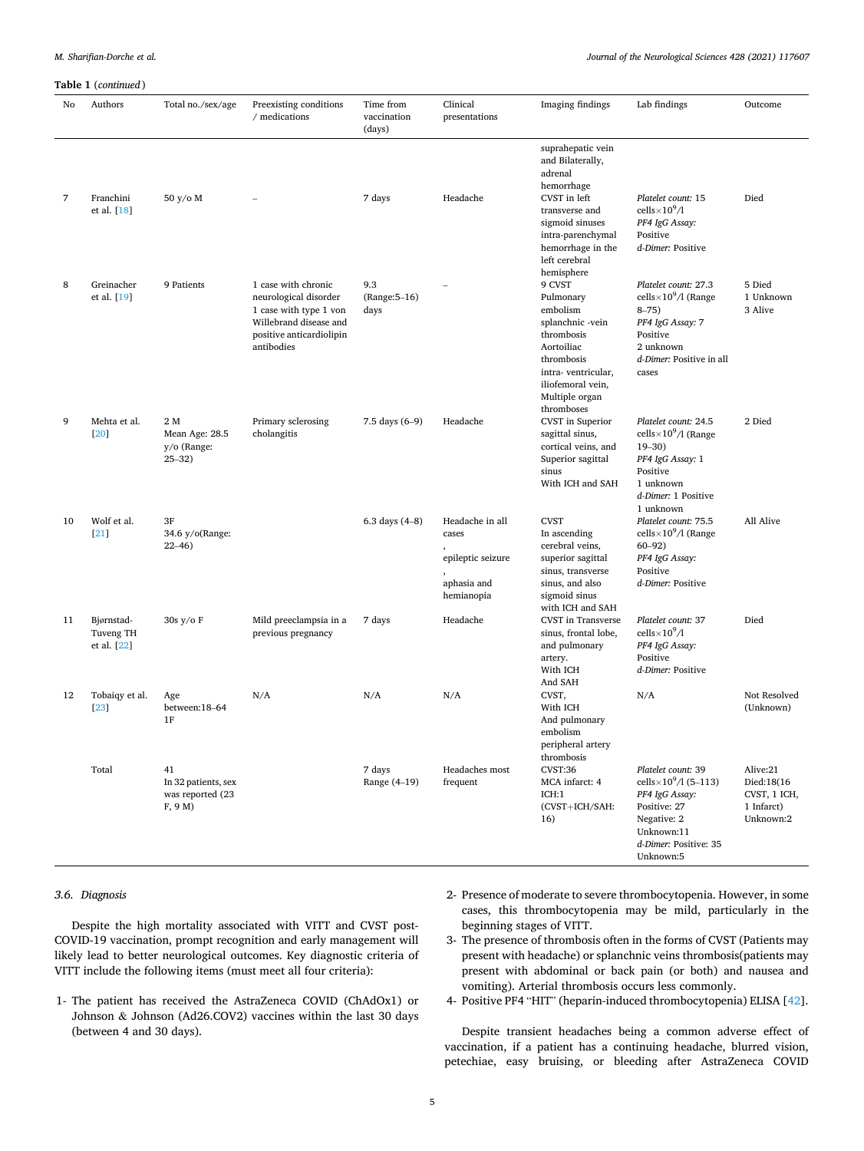*M. Sharifian-Dorche et al.* 

# *Journal of the Neurological Sciences 428 (2021) 117607*

# **Table 1** (*continued* )

| No | Authors                                | Total no./sex/age                                       | Preexisting conditions<br>/ medications                                                                                                    | Time from<br>vaccination     | Clinical                                                                   | Imaging findings                                                                                                                                                         | Lab findings                                                                                                                                                         | Outcome                                                           |
|----|----------------------------------------|---------------------------------------------------------|--------------------------------------------------------------------------------------------------------------------------------------------|------------------------------|----------------------------------------------------------------------------|--------------------------------------------------------------------------------------------------------------------------------------------------------------------------|----------------------------------------------------------------------------------------------------------------------------------------------------------------------|-------------------------------------------------------------------|
|    |                                        |                                                         |                                                                                                                                            | (days)                       | presentations                                                              |                                                                                                                                                                          |                                                                                                                                                                      |                                                                   |
| 7  | Franchini                              | 50 y/o M                                                | $\overline{a}$                                                                                                                             | 7 days                       | Headache                                                                   | suprahepatic vein<br>and Bilaterally,<br>adrenal<br>hemorrhage<br>CVST in left                                                                                           | Platelet count: 15                                                                                                                                                   | Died                                                              |
|    | et al. [18]                            |                                                         |                                                                                                                                            |                              |                                                                            | transverse and<br>sigmoid sinuses<br>intra-parenchymal<br>hemorrhage in the<br>left cerebral<br>hemisphere                                                               | cells $\times 10^9/1$<br>PF4 IgG Assay:<br>Positive<br>d-Dimer: Positive                                                                                             |                                                                   |
| 8  | Greinacher<br>et al. [19]              | 9 Patients                                              | 1 case with chronic<br>neurological disorder<br>1 case with type 1 von<br>Willebrand disease and<br>positive anticardiolipin<br>antibodies | 9.3<br>(Range: 5-16)<br>days |                                                                            | 9 CVST<br>Pulmonary<br>embolism<br>splanchnic -vein<br>thrombosis<br>Aortoiliac<br>thrombosis<br>intra-ventricular,<br>iliofemoral vein,<br>Multiple organ<br>thromboses | Platelet count: 27.3<br>cells $\times$ 10 <sup>9</sup> /1 (Range<br>$8 - 75$<br>PF4 IgG Assay: 7<br>Positive<br>2 unknown<br>d-Dimer: Positive in all<br>cases       | 5 Died<br>1 Unknown<br>3 Alive                                    |
| 9  | Mehta et al.<br>[20]                   | 2 M<br>Mean Age: 28.5<br>y/o (Range:<br>$25 - 32$       | Primary sclerosing<br>cholangitis                                                                                                          | 7.5 days (6-9)               | Headache                                                                   | CVST in Superior<br>sagittal sinus,<br>cortical veins, and<br>Superior sagittal<br>sinus<br>With ICH and SAH                                                             | Platelet count: 24.5<br>cells $\times$ 10 <sup>9</sup> /l (Range<br>$19 - 30$<br>PF4 IgG Assay: 1<br>Positive<br>1 unknown<br>d-Dimer: 1 Positive<br>1 unknown       | 2 Died                                                            |
| 10 | Wolf et al.<br>[21]                    | 3F<br>34.6 y/o(Range:<br>$22 - 46$                      |                                                                                                                                            | 6.3 days $(4-8)$             | Headache in all<br>cases<br>epileptic seizure<br>aphasia and<br>hemianopia | <b>CVST</b><br>In ascending<br>cerebral veins,<br>superior sagittal<br>sinus, transverse<br>sinus, and also<br>sigmoid sinus<br>with ICH and SAH                         | Platelet count: 75.5<br>cells $\times$ 10 <sup>9</sup> /l (Range<br>$60 - 92$<br>PF4 IgG Assay:<br>Positive<br>d-Dimer: Positive                                     | All Alive                                                         |
| 11 | Bjørnstad-<br>Tuveng TH<br>et al. [22] | 30s y/o F                                               | Mild preeclampsia in a<br>previous pregnancy                                                                                               | 7 days                       | Headache                                                                   | CVST in Transverse<br>sinus, frontal lobe,<br>and pulmonary<br>artery.<br>With ICH<br>And SAH                                                                            | Platelet count: 37<br>cells $\times 10^9/1$<br>PF4 IgG Assay:<br>Positive<br>d-Dimer: Positive                                                                       | Died                                                              |
| 12 | Tobaiqy et al.<br>[23]                 | Age<br>between:18-64<br>1F                              | N/A                                                                                                                                        | N/A                          | N/A                                                                        | CVST,<br>With ICH<br>And pulmonary<br>embolism<br>peripheral artery<br>thrombosis                                                                                        | N/A                                                                                                                                                                  | Not Resolved<br>(Unknown)                                         |
|    | Total                                  | 41<br>In 32 patients, sex<br>was reported (23<br>F, 9 M |                                                                                                                                            | 7 days<br>Range (4-19)       | Headaches most<br>frequent                                                 | CVST:36<br>MCA infarct: 4<br>ICH:1<br>(CVST+ICH/SAH:<br>16)                                                                                                              | Platelet count: 39<br>cells $\times$ 10 <sup>9</sup> /1 (5–113)<br>PF4 IgG Assay:<br>Positive: 27<br>Negative: 2<br>Unknown:11<br>d-Dimer: Positive: 35<br>Unknown:5 | Alive:21<br>Died:18(16<br>CVST, 1 ICH,<br>1 Infarct)<br>Unknown:2 |

# *3.6. Diagnosis*

Despite the high mortality associated with VITT and CVST post-COVID-19 vaccination, prompt recognition and early management will likely lead to better neurological outcomes. Key diagnostic criteria of VITT include the following items (must meet all four criteria):

- 1- The patient has received the AstraZeneca COVID (ChAdOx1) or Johnson & Johnson (Ad26.COV2) vaccines within the last 30 days (between 4 and 30 days).
- 2- Presence of moderate to severe thrombocytopenia. However, in some cases, this thrombocytopenia may be mild, particularly in the beginning stages of VITT.
- 3- The presence of thrombosis often in the forms of CVST (Patients may present with headache) or splanchnic veins thrombosis(patients may present with abdominal or back pain (or both) and nausea and vomiting). Arterial thrombosis occurs less commonly.
- 4- Positive PF4 "HIT" (heparin-induced thrombocytopenia) ELISA [\[42](#page-8-0)].

Despite transient headaches being a common adverse effect of vaccination, if a patient has a continuing headache, blurred vision, petechiae, easy bruising, or bleeding after AstraZeneca COVID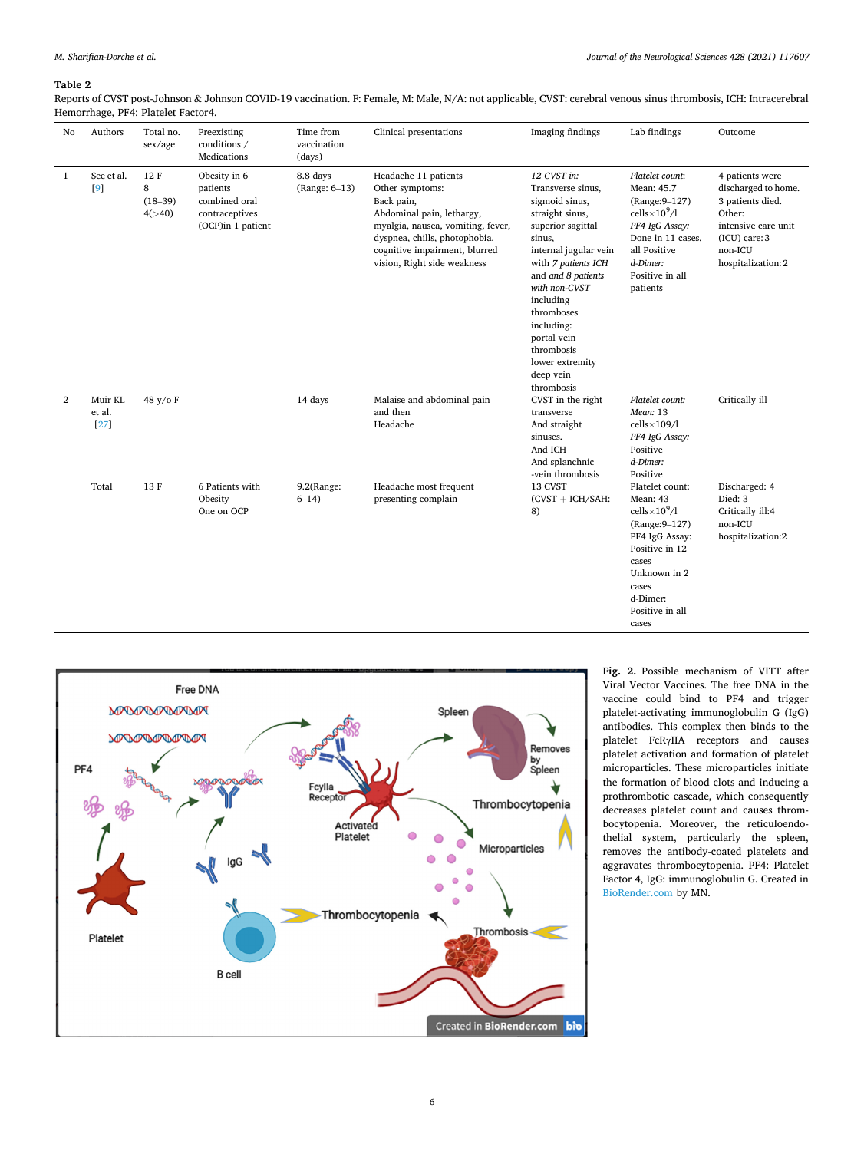# <span id="page-5-0"></span>**Table 2**

Reports of CVST post-Johnson & Johnson COVID-19 vaccination. F: Female, M: Male, N/A: not applicable, CVST: cerebral venous sinus thrombosis, ICH: Intracerebral Hemorrhage, PF4: Platelet Factor4.

| No           | Authors                   | Total no.<br>sex/age            | Preexisting<br>conditions /<br>Medications                                       | Time from<br>vaccination<br>(days) | Clinical presentations                                                                                                                                                                                                   | Imaging findings                                                                                                                                                                                                                                                                                                | Lab findings                                                                                                                                                                         | Outcome                                                                                                                                           |
|--------------|---------------------------|---------------------------------|----------------------------------------------------------------------------------|------------------------------------|--------------------------------------------------------------------------------------------------------------------------------------------------------------------------------------------------------------------------|-----------------------------------------------------------------------------------------------------------------------------------------------------------------------------------------------------------------------------------------------------------------------------------------------------------------|--------------------------------------------------------------------------------------------------------------------------------------------------------------------------------------|---------------------------------------------------------------------------------------------------------------------------------------------------|
| $\mathbf{1}$ | See et al.<br>[9]         | 12F<br>8<br>$(18-39)$<br>4(>40) | Obesity in 6<br>patients<br>combined oral<br>contraceptives<br>(OCP)in 1 patient | 8.8 days<br>(Range: 6-13)          | Headache 11 patients<br>Other symptoms:<br>Back pain,<br>Abdominal pain, lethargy,<br>myalgia, nausea, vomiting, fever,<br>dyspnea, chills, photophobia,<br>cognitive impairment, blurred<br>vision, Right side weakness | 12 CVST in:<br>Transverse sinus,<br>sigmoid sinus,<br>straight sinus,<br>superior sagittal<br>sinus,<br>internal jugular vein<br>with 7 patients ICH<br>and and 8 patients<br>with non-CVST<br>including<br>thromboses<br>including:<br>portal vein<br>thrombosis<br>lower extremity<br>deep vein<br>thrombosis | Platelet count:<br>Mean: 45.7<br>(Range: 9-127)<br>cells $\times 10^9/1$<br>PF4 IgG Assay:<br>Done in 11 cases,<br>all Positive<br>d-Dimer:<br>Positive in all<br>patients           | 4 patients were<br>discharged to home.<br>3 patients died.<br>Other:<br>intensive care unit<br>$(ICU)$ care: $3$<br>non-ICU<br>hospitalization: 2 |
| 2            | Muir KL<br>et al.<br>[27] | 48 y/o F                        |                                                                                  | 14 days                            | Malaise and abdominal pain<br>and then<br>Headache                                                                                                                                                                       | CVST in the right<br>transverse<br>And straight<br>sinuses.<br>And ICH<br>And splanchnic<br>-vein thrombosis                                                                                                                                                                                                    | Platelet count:<br>Mean: 13<br>$cells \times 109/1$<br>PF4 IgG Assay:<br>Positive<br>d-Dimer:<br>Positive                                                                            | Critically ill                                                                                                                                    |
|              | Total                     | 13F                             | 6 Patients with<br>Obesity<br>One on OCP                                         | 9.2(Range:<br>$6 - 14$             | Headache most frequent<br>presenting complain                                                                                                                                                                            | 13 CVST<br>$(CVST + ICH/SAH)$ :<br>8)                                                                                                                                                                                                                                                                           | Platelet count:<br>Mean: 43<br>cells $\times 10^9/1$<br>(Range: 9-127)<br>PF4 IgG Assay:<br>Positive in 12<br>cases<br>Unknown in 2<br>cases<br>d-Dimer:<br>Positive in all<br>cases | Discharged: 4<br>Died: 3<br>Critically ill:4<br>non-ICU<br>hospitalization:2                                                                      |



**Fig. 2.** Possible mechanism of VITT after Viral Vector Vaccines. The free DNA in the vaccine could bind to PF4 and trigger platelet-activating immunoglobulin G (IgG) antibodies. This complex then binds to the platelet FcRγIIA receptors and causes platelet activation and formation of platelet microparticles. These microparticles initiate the formation of blood clots and inducing a prothrombotic cascade, which consequently decreases platelet count and causes thrombocytopenia. Moreover, the reticuloendothelial system, particularly the spleen, removes the antibody-coated platelets and aggravates thrombocytopenia. PF4: Platelet Factor 4, IgG: immunoglobulin G. Created in [BioRender.com](http://BioRender.com) by MN.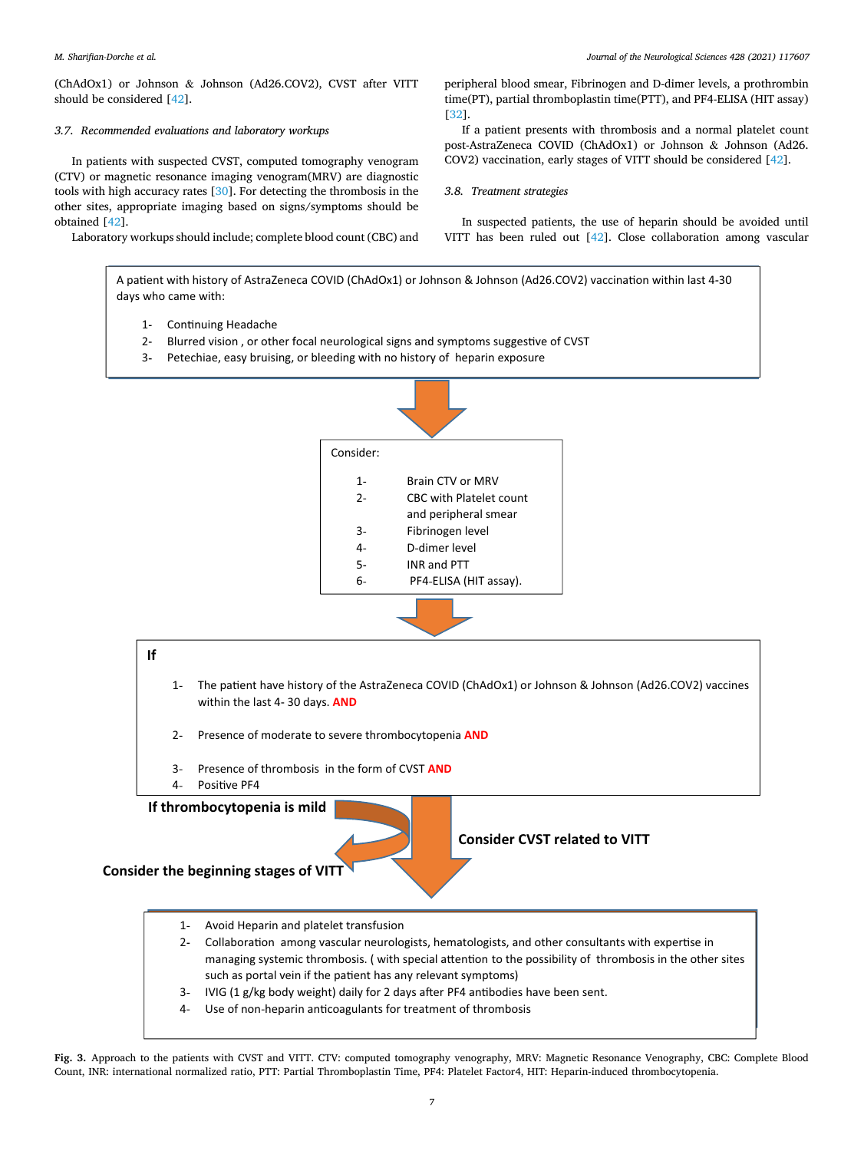<span id="page-6-0"></span>(ChAdOx1) or Johnson & Johnson (Ad26.COV2), CVST after VITT should be considered [\[42](#page-8-0)].

# *3.7. Recommended evaluations and laboratory workups*

In patients with suspected CVST, computed tomography venogram (CTV) or magnetic resonance imaging venogram(MRV) are diagnostic tools with high accuracy rates [\[30](#page-7-0)]. For detecting the thrombosis in the other sites, appropriate imaging based on signs/symptoms should be obtained [\[42](#page-8-0)].

Laboratory workups should include; complete blood count (CBC) and

*Journal of the Neurological Sciences 428 (2021) 117607*

peripheral blood smear, Fibrinogen and D-dimer levels, a prothrombin time(PT), partial thromboplastin time(PTT), and PF4-ELISA (HIT assay) [[32\]](#page-8-0).

If a patient presents with thrombosis and a normal platelet count post-AstraZeneca COVID (ChAdOx1) or Johnson & Johnson (Ad26. COV2) vaccination, early stages of VITT should be considered [\[42](#page-8-0)].

*3.8. Treatment strategies* 

In suspected patients, the use of heparin should be avoided until VITT has been ruled out [\[42](#page-8-0)]. Close collaboration among vascular

A patient with history of AstraZeneca COVID (ChAdOx1) or Johnson & Johnson (Ad26.COV2) vaccination within last 4-30 days who came with:

- 1- Continuing Headache
- 2- Blurred vision, or other focal neurological signs and symptoms suggestive of CVST
- 3- Petechiae, easy bruising, or bleeding with no history of heparin exposure



- 1- Avoid Heparin and platelet transfusion
- 2- Collaboration among vascular neurologists, hematologists, and other consultants with expertise in managing systemic thrombosis. (with special attention to the possibility of thrombosis in the other sites such as portal vein if the patient has any relevant symptoms)
- 3- IVIG (1 g/kg body weight) daily for 2 days after PF4 antibodies have been sent.
- 4- Use of non-heparin anticoagulants for treatment of thrombosis

**Fig. 3.** Approach to the patients with CVST and VITT. CTV: computed tomography venography, MRV: Magnetic Resonance Venography, CBC: Complete Blood Count, INR: international normalized ratio, PTT: Partial Thromboplastin Time, PF4: Platelet Factor4, HIT: Heparin-induced thrombocytopenia.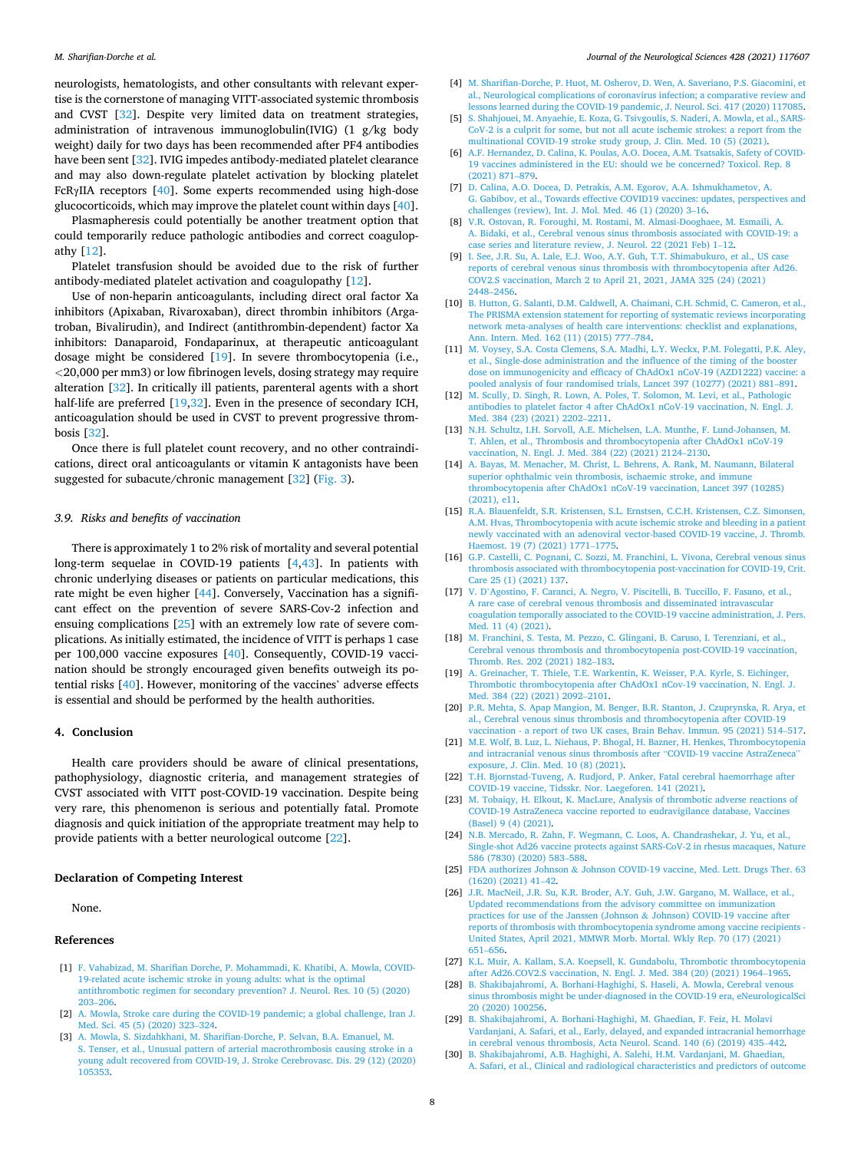<span id="page-7-0"></span>neurologists, hematologists, and other consultants with relevant expertise is the cornerstone of managing VITT-associated systemic thrombosis and CVST [\[32](#page-8-0)]. Despite very limited data on treatment strategies, administration of intravenous immunoglobulin(IVIG) (1 g/kg body weight) daily for two days has been recommended after PF4 antibodies have been sent [[32\]](#page-8-0). IVIG impedes antibody-mediated platelet clearance and may also down-regulate platelet activation by blocking platelet FcRγIIA receptors [\[40](#page-8-0)]. Some experts recommended using high-dose glucocorticoids, which may improve the platelet count within days [\[40](#page-8-0)].

Plasmapheresis could potentially be another treatment option that could temporarily reduce pathologic antibodies and correct coagulopathy [12].

Platelet transfusion should be avoided due to the risk of further antibody-mediated platelet activation and coagulopathy [12].

Use of non-heparin anticoagulants, including direct oral factor Xa inhibitors (Apixaban, Rivaroxaban), direct thrombin inhibitors (Argatroban, Bivalirudin), and Indirect (antithrombin-dependent) factor Xa inhibitors: Danaparoid, Fondaparinux, at therapeutic anticoagulant dosage might be considered [19]. In severe thrombocytopenia (i.e., *<*20,000 per mm3) or low fibrinogen levels, dosing strategy may require alteration [[32\]](#page-8-0). In critically ill patients, parenteral agents with a short half-life are preferred [19[,32](#page-8-0)]. Even in the presence of secondary ICH, anticoagulation should be used in CVST to prevent progressive thrombosis [[32\]](#page-8-0).

Once there is full platelet count recovery, and no other contraindications, direct oral anticoagulants or vitamin K antagonists have been suggested for subacute/chronic management [[32\]](#page-8-0) [\(Fig. 3](#page-6-0)).

#### *3.9. Risks and benefits of vaccination*

There is approximately 1 to 2% risk of mortality and several potential long-term sequelae in COVID-19 patients [4[,43](#page-8-0)]. In patients with chronic underlying diseases or patients on particular medications, this rate might be even higher [\[44](#page-8-0)]. Conversely, Vaccination has a significant effect on the prevention of severe SARS-Cov-2 infection and ensuing complications [25] with an extremely low rate of severe complications. As initially estimated, the incidence of VITT is perhaps 1 case per 100,000 vaccine exposures [\[40](#page-8-0)]. Consequently, COVID-19 vaccination should be strongly encouraged given benefits outweigh its potential risks [\[40](#page-8-0)]. However, monitoring of the vaccines' adverse effects is essential and should be performed by the health authorities.

# **4. Conclusion**

Health care providers should be aware of clinical presentations, pathophysiology, diagnostic criteria, and management strategies of CVST associated with VITT post-COVID-19 vaccination. Despite being very rare, this phenomenon is serious and potentially fatal. Promote diagnosis and quick initiation of the appropriate treatment may help to provide patients with a better neurological outcome [22].

#### **Declaration of Competing Interest**

None.

## **References**

- [1] [F. Vahabizad, M. Sharifian Dorche, P. Mohammadi, K. Khatibi, A. Mowla, COVID-](http://refhub.elsevier.com/S0022-510X(21)00301-4/rf0005)[19-related acute ischemic stroke in young adults: what is the optimal](http://refhub.elsevier.com/S0022-510X(21)00301-4/rf0005)  [antithrombotic regimen for secondary prevention? J. Neurol. Res. 10 \(5\) \(2020\)](http://refhub.elsevier.com/S0022-510X(21)00301-4/rf0005)  203–[206.](http://refhub.elsevier.com/S0022-510X(21)00301-4/rf0005)
- [2] [A. Mowla, Stroke care during the COVID-19 pandemic; a global challenge, Iran J.](http://refhub.elsevier.com/S0022-510X(21)00301-4/rf0010)  [Med. Sci. 45 \(5\) \(2020\) 323](http://refhub.elsevier.com/S0022-510X(21)00301-4/rf0010)–324.
- [3] [A. Mowla, S. Sizdahkhani, M. Sharifian-Dorche, P. Selvan, B.A. Emanuel, M.](http://refhub.elsevier.com/S0022-510X(21)00301-4/rf0015)  [S. Tenser, et al., Unusual pattern of arterial macrothrombosis causing stroke in a](http://refhub.elsevier.com/S0022-510X(21)00301-4/rf0015)  [young adult recovered from COVID-19, J. Stroke Cerebrovasc. Dis. 29 \(12\) \(2020\)](http://refhub.elsevier.com/S0022-510X(21)00301-4/rf0015)  [105353.](http://refhub.elsevier.com/S0022-510X(21)00301-4/rf0015)
- [4] [M. Sharifian-Dorche, P. Huot, M. Osherov, D. Wen, A. Saveriano, P.S. Giacomini, et](http://refhub.elsevier.com/S0022-510X(21)00301-4/rf0020)  [al., Neurological complications of coronavirus infection; a comparative review and](http://refhub.elsevier.com/S0022-510X(21)00301-4/rf0020)  [lessons learned during the COVID-19 pandemic, J. Neurol. Sci. 417 \(2020\) 117085.](http://refhub.elsevier.com/S0022-510X(21)00301-4/rf0020)
- [5] [S. Shahjouei, M. Anyaehie, E. Koza, G. Tsivgoulis, S. Naderi, A. Mowla, et al., SARS-](http://refhub.elsevier.com/S0022-510X(21)00301-4/rf0025)[CoV-2 is a culprit for some, but not all acute ischemic strokes: a report from the](http://refhub.elsevier.com/S0022-510X(21)00301-4/rf0025)  [multinational COVID-19 stroke study group, J. Clin. Med. 10 \(5\) \(2021\).](http://refhub.elsevier.com/S0022-510X(21)00301-4/rf0025)
- [6] [A.F. Hernandez, D. Calina, K. Poulas, A.O. Docea, A.M. Tsatsakis, Safety of COVID-](http://refhub.elsevier.com/S0022-510X(21)00301-4/rf0030)[19 vaccines administered in the EU: should we be concerned? Toxicol. Rep. 8](http://refhub.elsevier.com/S0022-510X(21)00301-4/rf0030) [\(2021\) 871](http://refhub.elsevier.com/S0022-510X(21)00301-4/rf0030)–879.
- [7] [D. Calina, A.O. Docea, D. Petrakis, A.M. Egorov, A.A. Ishmukhametov, A.](http://refhub.elsevier.com/S0022-510X(21)00301-4/rf0035)  [G. Gabibov, et al., Towards effective COVID19 vaccines: updates, perspectives and](http://refhub.elsevier.com/S0022-510X(21)00301-4/rf0035)  [challenges \(review\), Int. J. Mol. Med. 46 \(1\) \(2020\) 3](http://refhub.elsevier.com/S0022-510X(21)00301-4/rf0035)–16.
- [8] [V.R. Ostovan, R. Foroughi, M. Rostami, M. Almasi-Dooghaee, M. Esmaili, A.](http://refhub.elsevier.com/S0022-510X(21)00301-4/rf0040)  [A. Bidaki, et al., Cerebral venous sinus thrombosis associated with COVID-19: a](http://refhub.elsevier.com/S0022-510X(21)00301-4/rf0040)  ase series and literature review, J. Neurol. 22 (2021 Feb) 1-12.
- [9] [I. See, J.R. Su, A. Lale, E.J. Woo, A.Y. Guh, T.T. Shimabukuro, et al., US case](http://refhub.elsevier.com/S0022-510X(21)00301-4/rf0045)  [reports of cerebral venous sinus thrombosis with thrombocytopenia after Ad26.](http://refhub.elsevier.com/S0022-510X(21)00301-4/rf0045)  [COV2.S vaccination, March 2 to April 21, 2021, JAMA 325 \(24\) \(2021\)](http://refhub.elsevier.com/S0022-510X(21)00301-4/rf0045)  2448–[2456.](http://refhub.elsevier.com/S0022-510X(21)00301-4/rf0045)
- [10] [B. Hutton, G. Salanti, D.M. Caldwell, A. Chaimani, C.H. Schmid, C. Cameron, et al.,](http://refhub.elsevier.com/S0022-510X(21)00301-4/rf0050)  [The PRISMA extension statement for reporting of systematic reviews incorporating](http://refhub.elsevier.com/S0022-510X(21)00301-4/rf0050)  [network meta-analyses of health care interventions: checklist and explanations,](http://refhub.elsevier.com/S0022-510X(21)00301-4/rf0050)  [Ann. Intern. Med. 162 \(11\) \(2015\) 777](http://refhub.elsevier.com/S0022-510X(21)00301-4/rf0050)–784.
- [11] [M. Voysey, S.A. Costa Clemens, S.A. Madhi, L.Y. Weckx, P.M. Folegatti, P.K. Aley,](http://refhub.elsevier.com/S0022-510X(21)00301-4/rf0055)  [et al., Single-dose administration and the influence of the timing of the booster](http://refhub.elsevier.com/S0022-510X(21)00301-4/rf0055)  [dose on immunogenicity and efficacy of ChAdOx1 nCoV-19 \(AZD1222\) vaccine: a](http://refhub.elsevier.com/S0022-510X(21)00301-4/rf0055)  [pooled analysis of four randomised trials, Lancet 397 \(10277\) \(2021\) 881](http://refhub.elsevier.com/S0022-510X(21)00301-4/rf0055)–891.
- [12] [M. Scully, D. Singh, R. Lown, A. Poles, T. Solomon, M. Levi, et al., Pathologic](http://refhub.elsevier.com/S0022-510X(21)00301-4/rf0060)  [antibodies to platelet factor 4 after ChAdOx1 nCoV-19 vaccination, N. Engl. J.](http://refhub.elsevier.com/S0022-510X(21)00301-4/rf0060) [Med. 384 \(23\) \(2021\) 2202](http://refhub.elsevier.com/S0022-510X(21)00301-4/rf0060)–2211.
- [13] [N.H. Schultz, I.H. Sorvoll, A.E. Michelsen, L.A. Munthe, F. Lund-Johansen, M.](http://refhub.elsevier.com/S0022-510X(21)00301-4/rf0065) [T. Ahlen, et al., Thrombosis and thrombocytopenia after ChAdOx1 nCoV-19](http://refhub.elsevier.com/S0022-510X(21)00301-4/rf0065)  [vaccination, N. Engl. J. Med. 384 \(22\) \(2021\) 2124](http://refhub.elsevier.com/S0022-510X(21)00301-4/rf0065)–2130.
- [14] [A. Bayas, M. Menacher, M. Christ, L. Behrens, A. Rank, M. Naumann, Bilateral](http://refhub.elsevier.com/S0022-510X(21)00301-4/rf0070)  [superior ophthalmic vein thrombosis, ischaemic stroke, and immune](http://refhub.elsevier.com/S0022-510X(21)00301-4/rf0070)  [thrombocytopenia after ChAdOx1 nCoV-19 vaccination, Lancet 397 \(10285\)](http://refhub.elsevier.com/S0022-510X(21)00301-4/rf0070)  [\(2021\), e11.](http://refhub.elsevier.com/S0022-510X(21)00301-4/rf0070)
- [15] [R.A. Blauenfeldt, S.R. Kristensen, S.L. Ernstsen, C.C.H. Kristensen, C.Z. Simonsen,](http://refhub.elsevier.com/S0022-510X(21)00301-4/rf0075) [A.M. Hvas, Thrombocytopenia with acute ischemic stroke and bleeding in a patient](http://refhub.elsevier.com/S0022-510X(21)00301-4/rf0075)  [newly vaccinated with an adenoviral vector-based COVID-19 vaccine, J. Thromb.](http://refhub.elsevier.com/S0022-510X(21)00301-4/rf0075)  [Haemost. 19 \(7\) \(2021\) 1771](http://refhub.elsevier.com/S0022-510X(21)00301-4/rf0075)–1775.
- [16] [G.P. Castelli, C. Pognani, C. Sozzi, M. Franchini, L. Vivona, Cerebral venous sinus](http://refhub.elsevier.com/S0022-510X(21)00301-4/rf0080)  [thrombosis associated with thrombocytopenia post-vaccination for COVID-19, Crit.](http://refhub.elsevier.com/S0022-510X(21)00301-4/rf0080)  [Care 25 \(1\) \(2021\) 137.](http://refhub.elsevier.com/S0022-510X(21)00301-4/rf0080)
- [17] V. D'[Agostino, F. Caranci, A. Negro, V. Piscitelli, B. Tuccillo, F. Fasano, et al.,](http://refhub.elsevier.com/S0022-510X(21)00301-4/rf0085)  [A rare case of cerebral venous thrombosis and disseminated intravascular](http://refhub.elsevier.com/S0022-510X(21)00301-4/rf0085) [coagulation temporally associated to the COVID-19 vaccine administration, J. Pers.](http://refhub.elsevier.com/S0022-510X(21)00301-4/rf0085)  [Med. 11 \(4\) \(2021\)](http://refhub.elsevier.com/S0022-510X(21)00301-4/rf0085).
- [18] [M. Franchini, S. Testa, M. Pezzo, C. Glingani, B. Caruso, I. Terenziani, et al.,](http://refhub.elsevier.com/S0022-510X(21)00301-4/rf0090)  [Cerebral venous thrombosis and thrombocytopenia post-COVID-19 vaccination,](http://refhub.elsevier.com/S0022-510X(21)00301-4/rf0090)  [Thromb. Res. 202 \(2021\) 182](http://refhub.elsevier.com/S0022-510X(21)00301-4/rf0090)–183.
- [19] [A. Greinacher, T. Thiele, T.E. Warkentin, K. Weisser, P.A. Kyrle, S. Eichinger,](http://refhub.elsevier.com/S0022-510X(21)00301-4/rf0095) [Thrombotic thrombocytopenia after ChAdOx1 nCov-19 vaccination, N. Engl. J.](http://refhub.elsevier.com/S0022-510X(21)00301-4/rf0095)  [Med. 384 \(22\) \(2021\) 2092](http://refhub.elsevier.com/S0022-510X(21)00301-4/rf0095)–2101.
- [20] [P.R. Mehta, S. Apap Mangion, M. Benger, B.R. Stanton, J. Czuprynska, R. Arya, et](http://refhub.elsevier.com/S0022-510X(21)00301-4/rf0100)  [al., Cerebral venous sinus thrombosis and thrombocytopenia after COVID-19](http://refhub.elsevier.com/S0022-510X(21)00301-4/rf0100)  [vaccination - a report of two UK cases, Brain Behav. Immun. 95 \(2021\) 514](http://refhub.elsevier.com/S0022-510X(21)00301-4/rf0100)–517.
- [21] [M.E. Wolf, B. Luz, L. Niehaus, P. Bhogal, H. Bazner, H. Henkes, Thrombocytopenia](http://refhub.elsevier.com/S0022-510X(21)00301-4/rf0105)  [and intracranial venous sinus thrombosis after](http://refhub.elsevier.com/S0022-510X(21)00301-4/rf0105) "COVID-19 vaccine AstraZeneca" [exposure, J. Clin. Med. 10 \(8\) \(2021\).](http://refhub.elsevier.com/S0022-510X(21)00301-4/rf0105)
- [22] [T.H. Bjornstad-Tuveng, A. Rudjord, P. Anker, Fatal cerebral haemorrhage after](http://refhub.elsevier.com/S0022-510X(21)00301-4/rf0110) [COVID-19 vaccine, Tidsskr. Nor. Laegeforen. 141 \(2021\).](http://refhub.elsevier.com/S0022-510X(21)00301-4/rf0110)
- [23] [M. Tobaiqy, H. Elkout, K. MacLure, Analysis of thrombotic adverse reactions of](http://refhub.elsevier.com/S0022-510X(21)00301-4/rf0115) [COVID-19 AstraZeneca vaccine reported to eudravigilance database, Vaccines](http://refhub.elsevier.com/S0022-510X(21)00301-4/rf0115)  [\(Basel\) 9 \(4\) \(2021\)](http://refhub.elsevier.com/S0022-510X(21)00301-4/rf0115).
- [24] [N.B. Mercado, R. Zahn, F. Wegmann, C. Loos, A. Chandrashekar, J. Yu, et al.,](http://refhub.elsevier.com/S0022-510X(21)00301-4/rf0120) [Single-shot Ad26 vaccine protects against SARS-CoV-2 in rhesus macaques, Nature](http://refhub.elsevier.com/S0022-510X(21)00301-4/rf0120)  [586 \(7830\) \(2020\) 583](http://refhub.elsevier.com/S0022-510X(21)00301-4/rf0120)–588.
- [25] FDA authorizes Johnson & [Johnson COVID-19 vaccine, Med. Lett. Drugs Ther. 63](http://refhub.elsevier.com/S0022-510X(21)00301-4/rf0125)  [\(1620\) \(2021\) 41](http://refhub.elsevier.com/S0022-510X(21)00301-4/rf0125)–42.
- [26] [J.R. MacNeil, J.R. Su, K.R. Broder, A.Y. Guh, J.W. Gargano, M. Wallace, et al.,](http://refhub.elsevier.com/S0022-510X(21)00301-4/rf0130)  [Updated recommendations from the advisory committee on immunization](http://refhub.elsevier.com/S0022-510X(21)00301-4/rf0130)  [practices for use of the Janssen \(Johnson](http://refhub.elsevier.com/S0022-510X(21)00301-4/rf0130) & Johnson) COVID-19 vaccine after [reports of thrombosis with thrombocytopenia syndrome among vaccine recipients -](http://refhub.elsevier.com/S0022-510X(21)00301-4/rf0130)  [United States, April 2021, MMWR Morb. Mortal. Wkly Rep. 70 \(17\) \(2021\)](http://refhub.elsevier.com/S0022-510X(21)00301-4/rf0130) 651–[656.](http://refhub.elsevier.com/S0022-510X(21)00301-4/rf0130)
- [27] [K.L. Muir, A. Kallam, S.A. Koepsell, K. Gundabolu, Thrombotic thrombocytopenia](http://refhub.elsevier.com/S0022-510X(21)00301-4/rf0135)  [after Ad26.COV2.S vaccination, N. Engl. J. Med. 384 \(20\) \(2021\) 1964](http://refhub.elsevier.com/S0022-510X(21)00301-4/rf0135)–1965.
- [28] [B. Shakibajahromi, A. Borhani-Haghighi, S. Haseli, A. Mowla, Cerebral venous](http://refhub.elsevier.com/S0022-510X(21)00301-4/rf0140) [sinus thrombosis might be under-diagnosed in the COVID-19 era, eNeurologicalSci](http://refhub.elsevier.com/S0022-510X(21)00301-4/rf0140)  [20 \(2020\) 100256](http://refhub.elsevier.com/S0022-510X(21)00301-4/rf0140).
- [29] [B. Shakibajahromi, A. Borhani-Haghighi, M. Ghaedian, F. Feiz, H. Molavi](http://refhub.elsevier.com/S0022-510X(21)00301-4/rf0145)  [Vardanjani, A. Safari, et al., Early, delayed, and expanded intracranial hemorrhage](http://refhub.elsevier.com/S0022-510X(21)00301-4/rf0145)  [in cerebral venous thrombosis, Acta Neurol. Scand. 140 \(6\) \(2019\) 435](http://refhub.elsevier.com/S0022-510X(21)00301-4/rf0145)–442.
- [30] [B. Shakibajahromi, A.B. Haghighi, A. Salehi, H.M. Vardanjani, M. Ghaedian,](http://refhub.elsevier.com/S0022-510X(21)00301-4/rf0150) [A. Safari, et al., Clinical and radiological characteristics and predictors of outcome](http://refhub.elsevier.com/S0022-510X(21)00301-4/rf0150)